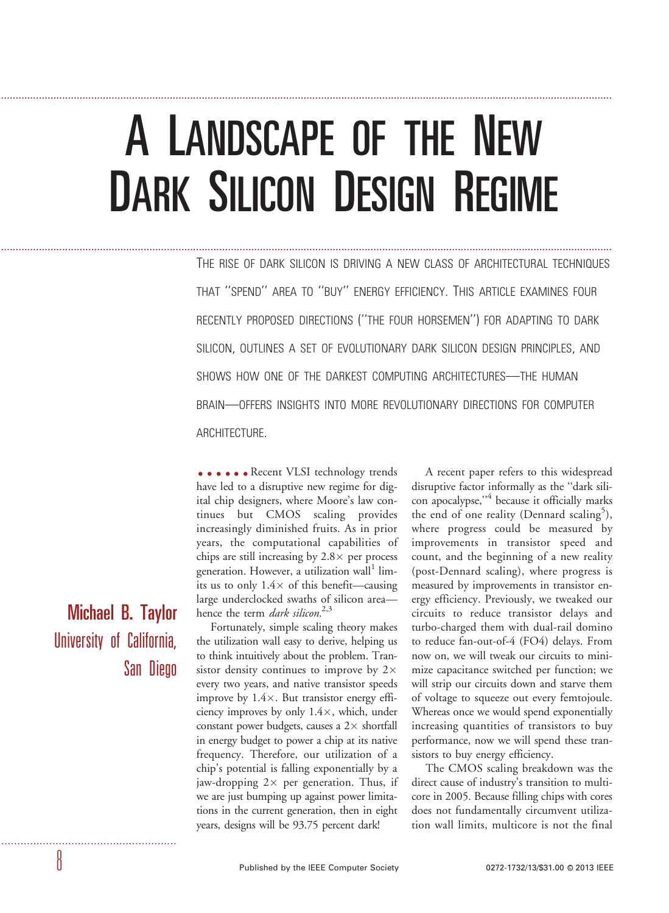# A LANDSCAPE OF THE NEW DARK SILICON DESIGN REGIME

...................................................................................................................................................................................................................

...................................................................................................................................................................................................................

THE RISE OF DARK SILICON IS DRIVING A NEW CLASS OF ARCHITECTURAL TECHNIQUES THAT ''SPEND'' AREA TO ''BUY'' ENERGY EFFICIENCY. THIS ARTICLE EXAMINES FOUR RECENTLY PROPOSED DIRECTIONS (''THE FOUR HORSEMEN'') FOR ADAPTING TO DARK SILICON, OUTLINES A SET OF EVOLUTIONARY DARK SILICON DESIGN PRINCIPLES, AND SHOWS HOW ONE OF THE DARKEST COMPUTING ARCHITECTURES—THE HUMAN BRAIN—OFFERS INSIGHTS INTO MORE REVOLUTIONARY DIRECTIONS FOR COMPUTER ARCHITECTURE.

.....Recent VLSI technology trends have led to a disruptive new regime for digital chip designers, where Moore's law continues but CMOS scaling provides increasingly diminished fruits. As in prior years, the computational capabilities of chips are still increasing by  $2.8\times$  per process generation. However, a utilization wall<sup>1</sup> limits us to only  $1.4\times$  of this benefit—causing large underclocked swaths of silicon area hence the term *dark silicon*.<sup>2,3</sup>

Fortunately, simple scaling theory makes the utilization wall easy to derive, helping us to think intuitively about the problem. Transistor density continues to improve by 2 $\times$ every two years, and native transistor speeds improve by  $1.4\times$ . But transistor energy efficiency improves by only 1.4×, which, under constant power budgets, causes a  $2\times$  shortfall in energy budget to power a chip at its native frequency. Therefore, our utilization of a chip's potential is falling exponentially by a jaw-dropping 2 $\times$  per generation. Thus, if we are just bumping up against power limitations in the current generation, then in eight years, designs will be 93.75 percent dark!

A recent paper refers to this widespread disruptive factor informally as the ''dark silicon apocalypse,''4 because it officially marks the end of one reality (Dennard scaling<sup>5</sup>), where progress could be measured by improvements in transistor speed and count, and the beginning of a new reality (post-Dennard scaling), where progress is measured by improvements in transistor energy efficiency. Previously, we tweaked our circuits to reduce transistor delays and turbo-charged them with dual-rail domino to reduce fan-out-of-4 (FO4) delays. From now on, we will tweak our circuits to minimize capacitance switched per function; we will strip our circuits down and starve them of voltage to squeeze out every femtojoule. Whereas once we would spend exponentially increasing quantities of transistors to buy performance, now we will spend these transistors to buy energy efficiency.

The CMOS scaling breakdown was the direct cause of industry's transition to multicore in 2005. Because filling chips with cores does not fundamentally circumvent utilization wall limits, multicore is not the final

Michael B. Taylor University of California, San Diego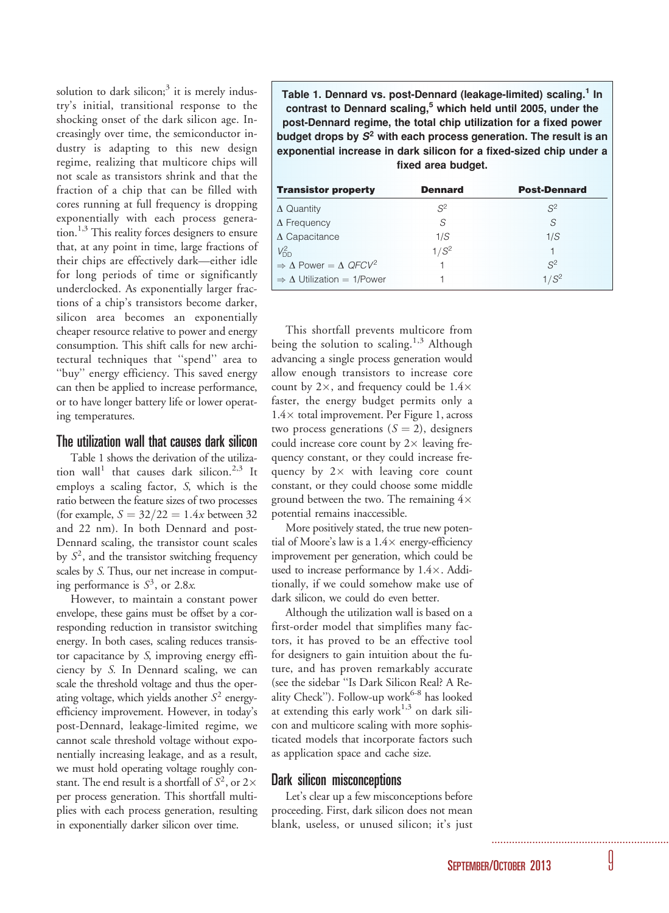solution to dark silicon; $3$  it is merely industry's initial, transitional response to the shocking onset of the dark silicon age. Increasingly over time, the semiconductor industry is adapting to this new design regime, realizing that multicore chips will not scale as transistors shrink and that the fraction of a chip that can be filled with cores running at full frequency is dropping exponentially with each process generation.<sup>1,3</sup> This reality forces designers to ensure that, at any point in time, large fractions of their chips are effectively dark—either idle for long periods of time or significantly underclocked. As exponentially larger fractions of a chip's transistors become darker, silicon area becomes an exponentially cheaper resource relative to power and energy consumption. This shift calls for new architectural techniques that ''spend'' area to ''buy'' energy efficiency. This saved energy can then be applied to increase performance, or to have longer battery life or lower operating temperatures.

# The utilization wall that causes dark silicon

Table 1 shows the derivation of the utilization wall<sup>1</sup> that causes dark silicon.<sup>2,3</sup> It employs a scaling factor, S, which is the ratio between the feature sizes of two processes (for example,  $S = 32/22 = 1.4x$  between 32 and 22 nm). In both Dennard and post-Dennard scaling, the transistor count scales by  $S<sup>2</sup>$ , and the transistor switching frequency scales by S. Thus, our net increase in computing performance is  $S^3$ , or 2.8*x*.

However, to maintain a constant power envelope, these gains must be offset by a corresponding reduction in transistor switching energy. In both cases, scaling reduces transistor capacitance by S, improving energy efficiency by S. In Dennard scaling, we can scale the threshold voltage and thus the operating voltage, which yields another  $S^2$  energyefficiency improvement. However, in today's post-Dennard, leakage-limited regime, we cannot scale threshold voltage without exponentially increasing leakage, and as a result, we must hold operating voltage roughly constant. The end result is a shortfall of  $S^2$ , or  $2\times$ per process generation. This shortfall multiplies with each process generation, resulting in exponentially darker silicon over time.

Table 1. Dennard vs. post-Dennard (leakage-limited) scaling.<sup>1</sup> In contrast to Dennard scaling,<sup>5</sup> which held until 2005, under the post-Dennard regime, the total chip utilization for a fixed power budget drops by  $S<sup>2</sup>$  with each process generation. The result is an exponential increase in dark silicon for a fixed-sized chip under a fixed area budget.

| <b>Transistor property</b>                              | <b>Dennard</b> | <b>Post-Dennard</b> |
|---------------------------------------------------------|----------------|---------------------|
| $\Delta$ Quantity                                       | $S^2$          | $S^2$               |
| $\Delta$ Frequency                                      | .S             | S                   |
| $\Delta$ Capacitance                                    | 1/S            | 1/S                 |
| $V_{\text{DD}}^2$                                       | $1/S^2$        |                     |
| $\Rightarrow \Delta$ Power = $\Delta$ QFCV <sup>2</sup> |                | $S^2$               |
| $\Rightarrow$ $\Delta$ Utilization = 1/Power            |                | $1/S^2$             |

This shortfall prevents multicore from being the solution to scaling.<sup>1,3</sup> Although advancing a single process generation would allow enough transistors to increase core count by  $2\times$ , and frequency could be  $1.4\times$ faster, the energy budget permits only a  $1.4\times$  total improvement. Per Figure 1, across two process generations  $(S = 2)$ , designers could increase core count by  $2\times$  leaving frequency constant, or they could increase frequency by  $2 \times$  with leaving core count constant, or they could choose some middle ground between the two. The remaining  $4\times$ potential remains inaccessible.

More positively stated, the true new potential of Moore's law is a  $1.4\times$  energy-efficiency improvement per generation, which could be used to increase performance by  $1.4 \times$ . Additionally, if we could somehow make use of dark silicon, we could do even better.

Although the utilization wall is based on a first-order model that simplifies many factors, it has proved to be an effective tool for designers to gain intuition about the future, and has proven remarkably accurate (see the sidebar ''Is Dark Silicon Real? A Reality Check''). Follow-up work<sup>6-8</sup> has looked at extending this early work $1,3$  on dark silicon and multicore scaling with more sophisticated models that incorporate factors such as application space and cache size.

# Dark silicon misconceptions

Let's clear up a few misconceptions before proceeding. First, dark silicon does not mean blank, useless, or unused silicon; it's just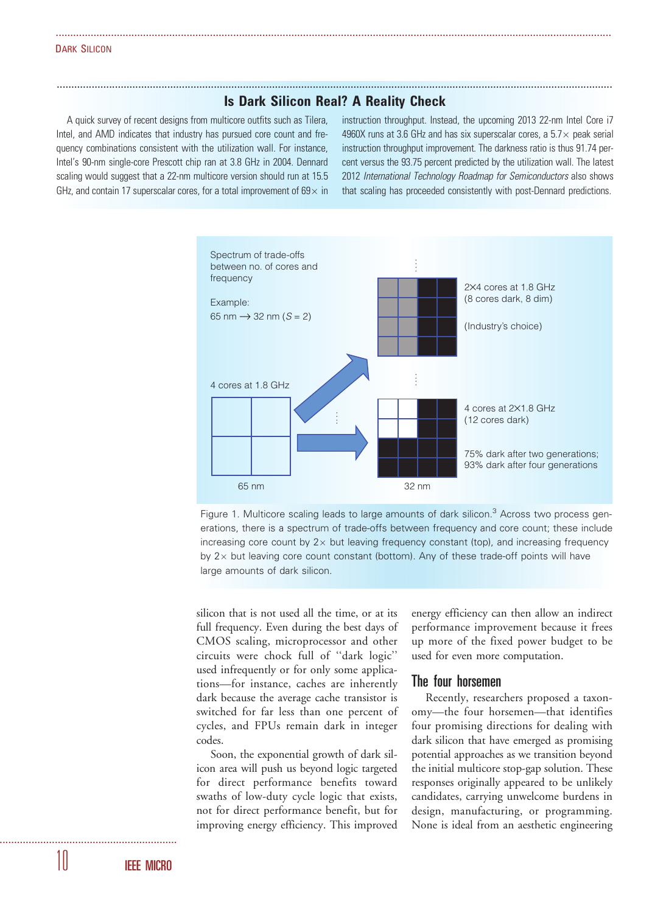#### DARK SILICON

# ............................................................................................................................................................................................... Is Dark Silicon Real? A Reality Check

...............................................................................................................................................................................................

A quick survey of recent designs from multicore outfits such as Tilera, Intel, and AMD indicates that industry has pursued core count and frequency combinations consistent with the utilization wall. For instance, Intel's 90-nm single-core Prescott chip ran at 3.8 GHz in 2004. Dennard scaling would suggest that a 22-nm multicore version should run at 15.5 GHz, and contain 17 superscalar cores, for a total improvement of 69 $\times$  in

instruction throughput. Instead, the upcoming 2013 22-nm Intel Core i7 4960X runs at 3.6 GHz and has six superscalar cores, a  $5.7\times$  peak serial instruction throughput improvement. The darkness ratio is thus 91.74 percent versus the 93.75 percent predicted by the utilization wall. The latest 2012 International Technology Roadmap for Semiconductors also shows that scaling has proceeded consistently with post-Dennard predictions.



Figure 1. Multicore scaling leads to large amounts of dark silicon. $3$  Across two process generations, there is a spectrum of trade-offs between frequency and core count; these include increasing core count by 2 $\times$  but leaving frequency constant (top), and increasing frequency by 2 $\times$  but leaving core count constant (bottom). Any of these trade-off points will have large amounts of dark silicon.

silicon that is not used all the time, or at its full frequency. Even during the best days of CMOS scaling, microprocessor and other circuits were chock full of ''dark logic'' used infrequently or for only some applications—for instance, caches are inherently dark because the average cache transistor is switched for far less than one percent of cycles, and FPUs remain dark in integer codes.

Soon, the exponential growth of dark silicon area will push us beyond logic targeted for direct performance benefits toward swaths of low-duty cycle logic that exists, not for direct performance benefit, but for improving energy efficiency. This improved

energy efficiency can then allow an indirect performance improvement because it frees up more of the fixed power budget to be used for even more computation.

## The four horsemen

Recently, researchers proposed a taxonomy—the four horsemen—that identifies four promising directions for dealing with dark silicon that have emerged as promising potential approaches as we transition beyond the initial multicore stop-gap solution. These responses originally appeared to be unlikely candidates, carrying unwelcome burdens in design, manufacturing, or programming. None is ideal from an aesthetic engineering

10 IEEE MICRO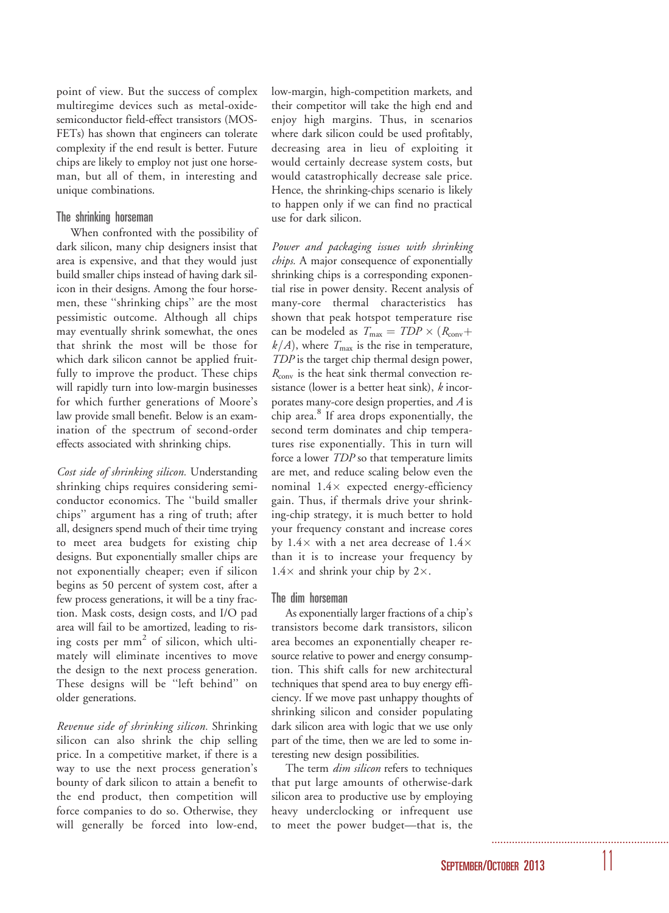point of view. But the success of complex multiregime devices such as metal-oxidesemiconductor field-effect transistors (MOS-FETs) has shown that engineers can tolerate complexity if the end result is better. Future chips are likely to employ not just one horseman, but all of them, in interesting and unique combinations.

# The shrinking horseman

When confronted with the possibility of dark silicon, many chip designers insist that area is expensive, and that they would just build smaller chips instead of having dark silicon in their designs. Among the four horsemen, these ''shrinking chips'' are the most pessimistic outcome. Although all chips may eventually shrink somewhat, the ones that shrink the most will be those for which dark silicon cannot be applied fruitfully to improve the product. These chips will rapidly turn into low-margin businesses for which further generations of Moore's law provide small benefit. Below is an examination of the spectrum of second-order effects associated with shrinking chips.

Cost side of shrinking silicon. Understanding shrinking chips requires considering semiconductor economics. The ''build smaller chips'' argument has a ring of truth; after all, designers spend much of their time trying to meet area budgets for existing chip designs. But exponentially smaller chips are not exponentially cheaper; even if silicon begins as 50 percent of system cost, after a few process generations, it will be a tiny fraction. Mask costs, design costs, and I/O pad area will fail to be amortized, leading to rising costs per  $mm<sup>2</sup>$  of silicon, which ultimately will eliminate incentives to move the design to the next process generation. These designs will be ''left behind'' on older generations.

Revenue side of shrinking silicon. Shrinking silicon can also shrink the chip selling price. In a competitive market, if there is a way to use the next process generation's bounty of dark silicon to attain a benefit to the end product, then competition will force companies to do so. Otherwise, they will generally be forced into low-end,

low-margin, high-competition markets, and their competitor will take the high end and enjoy high margins. Thus, in scenarios where dark silicon could be used profitably, decreasing area in lieu of exploiting it would certainly decrease system costs, but would catastrophically decrease sale price. Hence, the shrinking-chips scenario is likely to happen only if we can find no practical use for dark silicon.

Power and packaging issues with shrinking chips. A major consequence of exponentially shrinking chips is a corresponding exponential rise in power density. Recent analysis of many-core thermal characteristics has shown that peak hotspot temperature rise can be modeled as  $T_{\text{max}} = TDP \times (R_{\text{conv}} +$  $k/A$ ), where  $T_{\text{max}}$  is the rise in temperature, TDP is the target chip thermal design power,  $R_{\text{conv}}$  is the heat sink thermal convection resistance (lower is a better heat sink),  $k$  incorporates many-core design properties, and A is chip area.<sup>8</sup> If area drops exponentially, the second term dominates and chip temperatures rise exponentially. This in turn will force a lower *TDP* so that temperature limits are met, and reduce scaling below even the nominal 1.4× expected energy-efficiency gain. Thus, if thermals drive your shrinking-chip strategy, it is much better to hold your frequency constant and increase cores by 1.4 $\times$  with a net area decrease of 1.4 $\times$ than it is to increase your frequency by  $1.4\times$  and shrink your chip by 2 $\times$ .

## The dim horseman

As exponentially larger fractions of a chip's transistors become dark transistors, silicon area becomes an exponentially cheaper resource relative to power and energy consumption. This shift calls for new architectural techniques that spend area to buy energy efficiency. If we move past unhappy thoughts of shrinking silicon and consider populating dark silicon area with logic that we use only part of the time, then we are led to some interesting new design possibilities.

The term *dim silicon* refers to techniques that put large amounts of otherwise-dark silicon area to productive use by employing heavy underclocking or infrequent use to meet the power budget—that is, the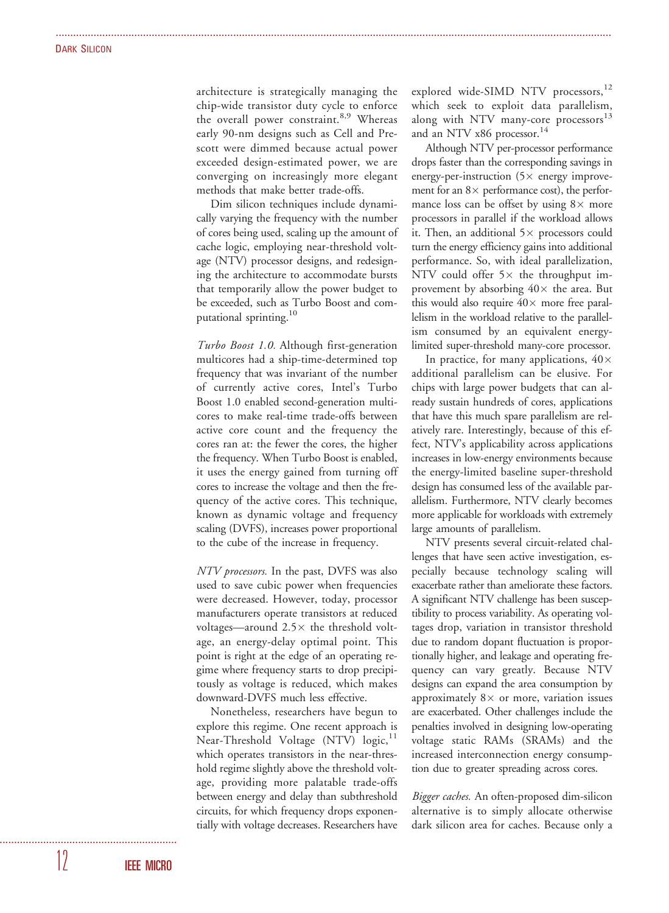architecture is strategically managing the chip-wide transistor duty cycle to enforce the overall power constraint.<sup>8,9</sup> Whereas early 90-nm designs such as Cell and Prescott were dimmed because actual power exceeded design-estimated power, we are converging on increasingly more elegant methods that make better trade-offs.

...............................................................................................................................................................................................

Dim silicon techniques include dynamically varying the frequency with the number of cores being used, scaling up the amount of cache logic, employing near-threshold voltage (NTV) processor designs, and redesigning the architecture to accommodate bursts that temporarily allow the power budget to be exceeded, such as Turbo Boost and computational sprinting.<sup>10</sup>

Turbo Boost 1.0. Although first-generation multicores had a ship-time-determined top frequency that was invariant of the number of currently active cores, Intel's Turbo Boost 1.0 enabled second-generation multicores to make real-time trade-offs between active core count and the frequency the cores ran at: the fewer the cores, the higher the frequency. When Turbo Boost is enabled, it uses the energy gained from turning off cores to increase the voltage and then the frequency of the active cores. This technique, known as dynamic voltage and frequency scaling (DVFS), increases power proportional to the cube of the increase in frequency.

NTV processors. In the past, DVFS was also used to save cubic power when frequencies were decreased. However, today, processor manufacturers operate transistors at reduced voltages—around  $2.5\times$  the threshold voltage, an energy-delay optimal point. This point is right at the edge of an operating regime where frequency starts to drop precipitously as voltage is reduced, which makes downward-DVFS much less effective.

Nonetheless, researchers have begun to explore this regime. One recent approach is Near-Threshold Voltage (NTV) logic,<sup>11</sup> which operates transistors in the near-threshold regime slightly above the threshold voltage, providing more palatable trade-offs between energy and delay than subthreshold circuits, for which frequency drops exponentially with voltage decreases. Researchers have

explored wide-SIMD NTV processors,<sup>12</sup> which seek to exploit data parallelism, along with NTV many-core processors $13$ and an NTV x86 processor.<sup>14</sup>

Although NTV per-processor performance drops faster than the corresponding savings in energy-per-instruction (5× energy improvement for an  $8\times$  performance cost), the performance loss can be offset by using  $8\times$  more processors in parallel if the workload allows it. Then, an additional 5 $\times$  processors could turn the energy efficiency gains into additional performance. So, with ideal parallelization, NTV could offer  $5\times$  the throughput improvement by absorbing  $40\times$  the area. But this would also require  $40\times$  more free parallelism in the workload relative to the parallelism consumed by an equivalent energylimited super-threshold many-core processor.

In practice, for many applications,  $40\times$ additional parallelism can be elusive. For chips with large power budgets that can already sustain hundreds of cores, applications that have this much spare parallelism are relatively rare. Interestingly, because of this effect, NTV's applicability across applications increases in low-energy environments because the energy-limited baseline super-threshold design has consumed less of the available parallelism. Furthermore, NTV clearly becomes more applicable for workloads with extremely large amounts of parallelism.

NTV presents several circuit-related challenges that have seen active investigation, especially because technology scaling will exacerbate rather than ameliorate these factors. A significant NTV challenge has been susceptibility to process variability. As operating voltages drop, variation in transistor threshold due to random dopant fluctuation is proportionally higher, and leakage and operating frequency can vary greatly. Because NTV designs can expand the area consumption by approximately  $8\times$  or more, variation issues are exacerbated. Other challenges include the penalties involved in designing low-operating voltage static RAMs (SRAMs) and the increased interconnection energy consumption due to greater spreading across cores.

Bigger caches. An often-proposed dim-silicon alternative is to simply allocate otherwise dark silicon area for caches. Because only a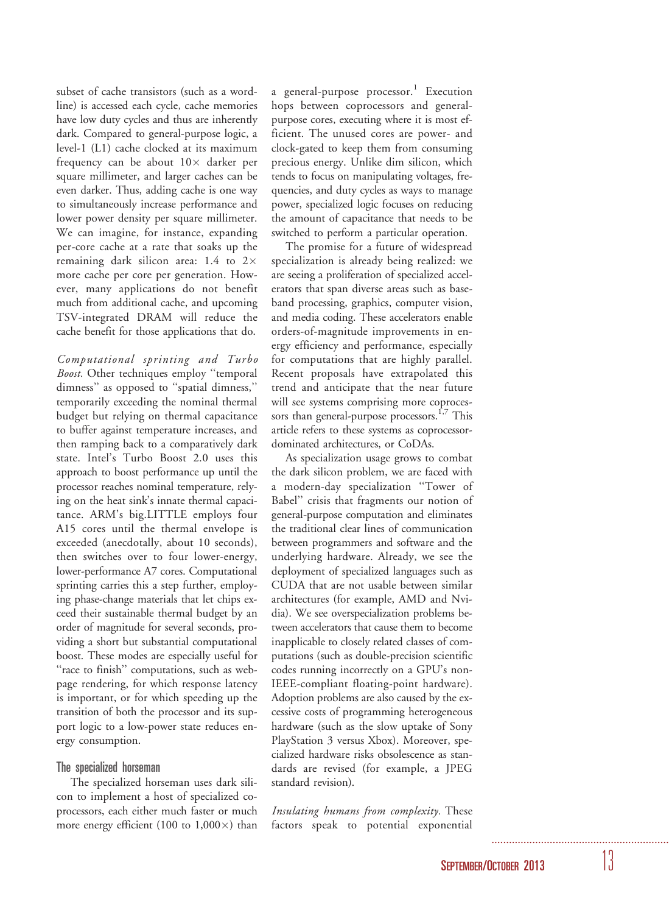subset of cache transistors (such as a wordline) is accessed each cycle, cache memories have low duty cycles and thus are inherently dark. Compared to general-purpose logic, a level-1 (L1) cache clocked at its maximum frequency can be about  $10\times$  darker per square millimeter, and larger caches can be even darker. Thus, adding cache is one way to simultaneously increase performance and lower power density per square millimeter. We can imagine, for instance, expanding per-core cache at a rate that soaks up the remaining dark silicon area: 1.4 to  $2\times$ more cache per core per generation. However, many applications do not benefit much from additional cache, and upcoming TSV-integrated DRAM will reduce the cache benefit for those applications that do.

Computational sprinting and Turbo Boost. Other techniques employ "temporal dimness'' as opposed to ''spatial dimness,'' temporarily exceeding the nominal thermal budget but relying on thermal capacitance to buffer against temperature increases, and then ramping back to a comparatively dark state. Intel's Turbo Boost 2.0 uses this approach to boost performance up until the processor reaches nominal temperature, relying on the heat sink's innate thermal capacitance. ARM's big.LITTLE employs four A15 cores until the thermal envelope is exceeded (anecdotally, about 10 seconds), then switches over to four lower-energy, lower-performance A7 cores. Computational sprinting carries this a step further, employing phase-change materials that let chips exceed their sustainable thermal budget by an order of magnitude for several seconds, providing a short but substantial computational boost. These modes are especially useful for "race to finish" computations, such as webpage rendering, for which response latency is important, or for which speeding up the transition of both the processor and its support logic to a low-power state reduces energy consumption.

## The specialized horseman

The specialized horseman uses dark silicon to implement a host of specialized coprocessors, each either much faster or much more energy efficient (100 to  $1,000\times$ ) than

a general-purpose processor.<sup>1</sup> Execution hops between coprocessors and generalpurpose cores, executing where it is most efficient. The unused cores are power- and clock-gated to keep them from consuming precious energy. Unlike dim silicon, which tends to focus on manipulating voltages, frequencies, and duty cycles as ways to manage power, specialized logic focuses on reducing the amount of capacitance that needs to be switched to perform a particular operation.

The promise for a future of widespread specialization is already being realized: we are seeing a proliferation of specialized accelerators that span diverse areas such as baseband processing, graphics, computer vision, and media coding. These accelerators enable orders-of-magnitude improvements in energy efficiency and performance, especially for computations that are highly parallel. Recent proposals have extrapolated this trend and anticipate that the near future will see systems comprising more coprocessors than general-purpose processors.<sup>1,7</sup> This article refers to these systems as coprocessordominated architectures, or CoDAs.

As specialization usage grows to combat the dark silicon problem, we are faced with a modern-day specialization ''Tower of Babel'' crisis that fragments our notion of general-purpose computation and eliminates the traditional clear lines of communication between programmers and software and the underlying hardware. Already, we see the deployment of specialized languages such as CUDA that are not usable between similar architectures (for example, AMD and Nvidia). We see overspecialization problems between accelerators that cause them to become inapplicable to closely related classes of computations (such as double-precision scientific codes running incorrectly on a GPU's non-IEEE-compliant floating-point hardware). Adoption problems are also caused by the excessive costs of programming heterogeneous hardware (such as the slow uptake of Sony PlayStation 3 versus Xbox). Moreover, specialized hardware risks obsolescence as standards are revised (for example, a JPEG standard revision).

Insulating humans from complexity. These factors speak to potential exponential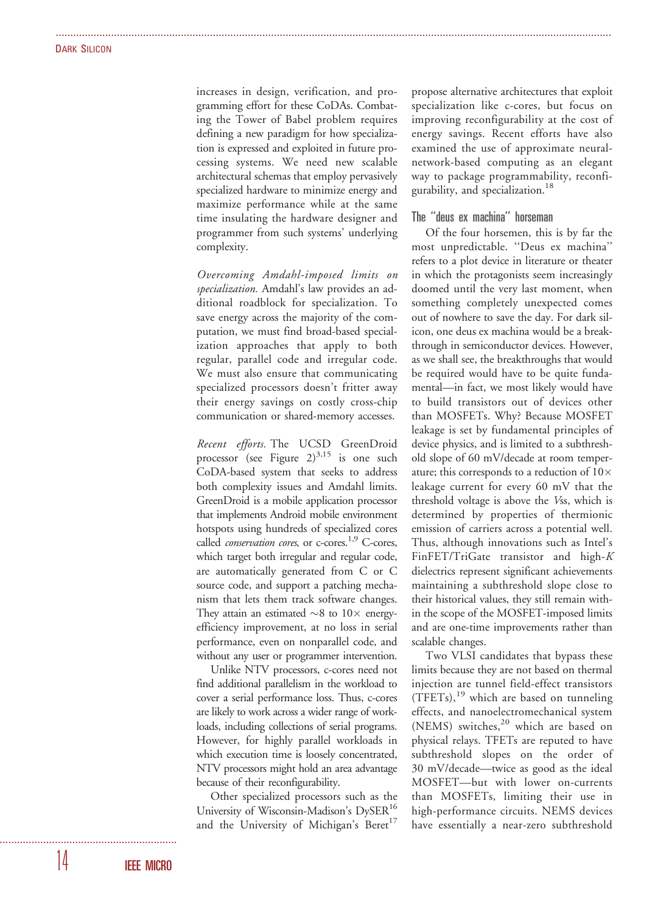increases in design, verification, and programming effort for these CoDAs. Combating the Tower of Babel problem requires defining a new paradigm for how specialization is expressed and exploited in future processing systems. We need new scalable architectural schemas that employ pervasively specialized hardware to minimize energy and maximize performance while at the same time insulating the hardware designer and programmer from such systems' underlying complexity.

...............................................................................................................................................................................................

Overcoming Amdahl-imposed limits on specialization. Amdahl's law provides an additional roadblock for specialization. To save energy across the majority of the computation, we must find broad-based specialization approaches that apply to both regular, parallel code and irregular code. We must also ensure that communicating specialized processors doesn't fritter away their energy savings on costly cross-chip communication or shared-memory accesses.

Recent efforts. The UCSD GreenDroid processor (see Figure  $2)^{3,15}$  is one such CoDA-based system that seeks to address both complexity issues and Amdahl limits. GreenDroid is a mobile application processor that implements Android mobile environment hotspots using hundreds of specialized cores called *conservation cores*, or c-cores.<sup>1,9</sup> C-cores, which target both irregular and regular code, are automatically generated from C or C source code, and support a patching mechanism that lets them track software changes. They attain an estimated  $\sim$ 8 to 10 $\times$  energyefficiency improvement, at no loss in serial performance, even on nonparallel code, and without any user or programmer intervention.

Unlike NTV processors, c-cores need not find additional parallelism in the workload to cover a serial performance loss. Thus, c-cores are likely to work across a wider range of workloads, including collections of serial programs. However, for highly parallel workloads in which execution time is loosely concentrated, NTV processors might hold an area advantage because of their reconfigurability.

Other specialized processors such as the University of Wisconsin-Madison's DySER<sup>16</sup> and the University of Michigan's Beret<sup>17</sup>

propose alternative architectures that exploit specialization like c-cores, but focus on improving reconfigurability at the cost of energy savings. Recent efforts have also examined the use of approximate neuralnetwork-based computing as an elegant way to package programmability, reconfigurability, and specialization.<sup>18</sup>

## The ''deus ex machina'' horseman

Of the four horsemen, this is by far the most unpredictable. ''Deus ex machina'' refers to a plot device in literature or theater in which the protagonists seem increasingly doomed until the very last moment, when something completely unexpected comes out of nowhere to save the day. For dark silicon, one deus ex machina would be a breakthrough in semiconductor devices. However, as we shall see, the breakthroughs that would be required would have to be quite fundamental—in fact, we most likely would have to build transistors out of devices other than MOSFETs. Why? Because MOSFET leakage is set by fundamental principles of device physics, and is limited to a subthreshold slope of 60 mV/decade at room temperature; this corresponds to a reduction of  $10\times$ leakage current for every 60 mV that the threshold voltage is above the Vss, which is determined by properties of thermionic emission of carriers across a potential well. Thus, although innovations such as Intel's FinFET/TriGate transistor and high-K dielectrics represent significant achievements maintaining a subthreshold slope close to their historical values, they still remain within the scope of the MOSFET-imposed limits and are one-time improvements rather than scalable changes.

Two VLSI candidates that bypass these limits because they are not based on thermal injection are tunnel field-effect transistors  $(TFETs),<sup>19</sup>$  which are based on tunneling effects, and nanoelectromechanical system (NEMS) switches, $20$  which are based on physical relays. TFETs are reputed to have subthreshold slopes on the order of 30 mV/decade—twice as good as the ideal MOSFET—but with lower on-currents than MOSFETs, limiting their use in high-performance circuits. NEMS devices have essentially a near-zero subthreshold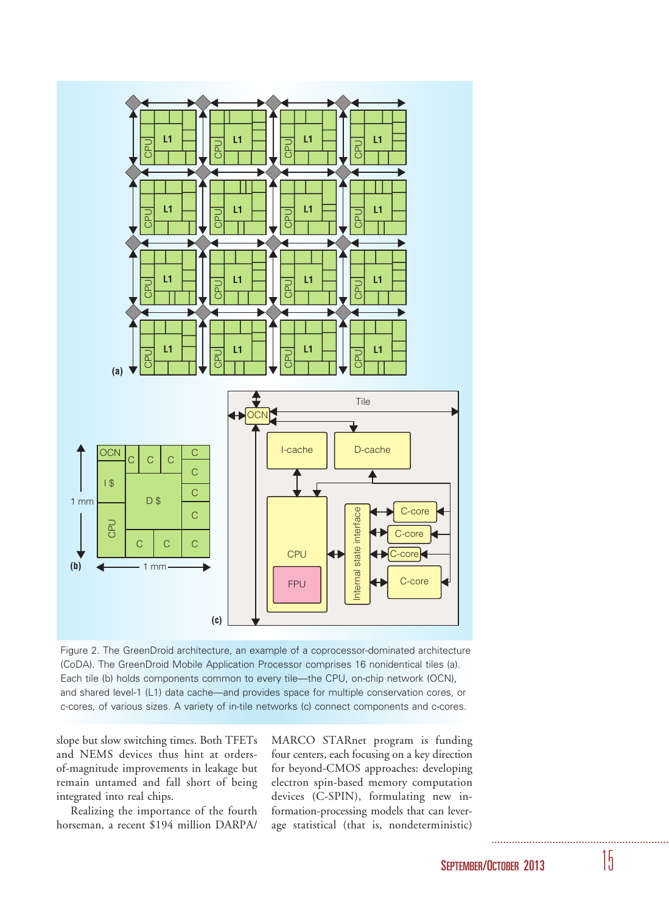

Figure 2. The GreenDroid architecture, an example of a coprocessor-dominated architecture (CoDA). The GreenDroid Mobile Application Processor comprises 16 nonidentical tiles (a). Each tile (b) holds components common to every tile—the CPU, on-chip network (OCN), and shared level-1 (L1) data cache—and provides space for multiple conservation cores, or c-cores, of various sizes. A variety of in-tile networks (c) connect components and c-cores.

slope but slow switching times. Both TFETs and NEMS devices thus hint at ordersof-magnitude improvements in leakage but remain untamed and fall short of being integrated into real chips.

Realizing the importance of the fourth horseman, a recent \$194 million DARPA/

MARCO STARnet program is funding four centers, each focusing on a key direction for beyond-CMOS approaches: developing electron spin-based memory computation devices (C-SPIN), formulating new information-processing models that can leverage statistical (that is, nondeterministic)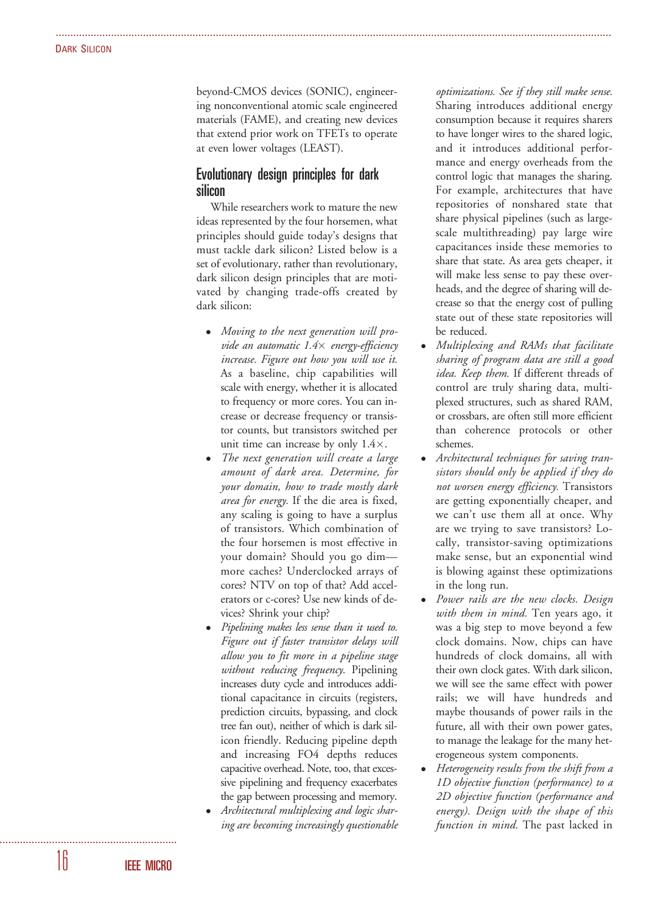beyond-CMOS devices (SONIC), engineering nonconventional atomic scale engineered materials (FAME), and creating new devices that extend prior work on TFETs to operate at even lower voltages (LEAST).

...............................................................................................................................................................................................

# Evolutionary design principles for dark silicon

While researchers work to mature the new ideas represented by the four horsemen, what principles should guide today's designs that must tackle dark silicon? Listed below is a set of evolutionary, rather than revolutionary, dark silicon design principles that are motivated by changing trade-offs created by dark silicon:

- Moving to the next generation will provide an automatic 1.4× energy-efficiency increase. Figure out how you will use it. As a baseline, chip capabilities will scale with energy, whether it is allocated to frequency or more cores. You can increase or decrease frequency or transistor counts, but transistors switched per unit time can increase by only  $1.4 \times$ .
- The next generation will create a large amount of dark area. Determine, for your domain, how to trade mostly dark area for energy. If the die area is fixed, any scaling is going to have a surplus of transistors. Which combination of the four horsemen is most effective in your domain? Should you go dim more caches? Underclocked arrays of cores? NTV on top of that? Add accelerators or c-cores? Use new kinds of devices? Shrink your chip?
- Pipelining makes less sense than it used to. Figure out if faster transistor delays will allow you to fit more in a pipeline stage without reducing frequency. Pipelining increases duty cycle and introduces additional capacitance in circuits (registers, prediction circuits, bypassing, and clock tree fan out), neither of which is dark silicon friendly. Reducing pipeline depth and increasing FO4 depths reduces capacitive overhead. Note, too, that excessive pipelining and frequency exacerbates the gap between processing and memory.
- Architectural multiplexing and logic sharing are becoming increasingly questionable

optimizations. See if they still make sense. Sharing introduces additional energy consumption because it requires sharers to have longer wires to the shared logic, and it introduces additional performance and energy overheads from the control logic that manages the sharing. For example, architectures that have repositories of nonshared state that share physical pipelines (such as largescale multithreading) pay large wire capacitances inside these memories to share that state. As area gets cheaper, it will make less sense to pay these overheads, and the degree of sharing will decrease so that the energy cost of pulling state out of these state repositories will be reduced.

- Multiplexing and RAMs that facilitate sharing of program data are still a good idea. Keep them. If different threads of control are truly sharing data, multiplexed structures, such as shared RAM, or crossbars, are often still more efficient than coherence protocols or other schemes.
- Architectural techniques for saving transistors should only be applied if they do not worsen energy efficiency. Transistors are getting exponentially cheaper, and we can't use them all at once. Why are we trying to save transistors? Locally, transistor-saving optimizations make sense, but an exponential wind is blowing against these optimizations in the long run.
- Power rails are the new clocks. Design with them in mind. Ten years ago, it was a big step to move beyond a few clock domains. Now, chips can have hundreds of clock domains, all with their own clock gates. With dark silicon, we will see the same effect with power rails; we will have hundreds and maybe thousands of power rails in the future, all with their own power gates, to manage the leakage for the many heterogeneous system components.
- Heterogeneity results from the shift from a 1D objective function (performance) to a 2D objective function (performance and energy). Design with the shape of this function in mind. The past lacked in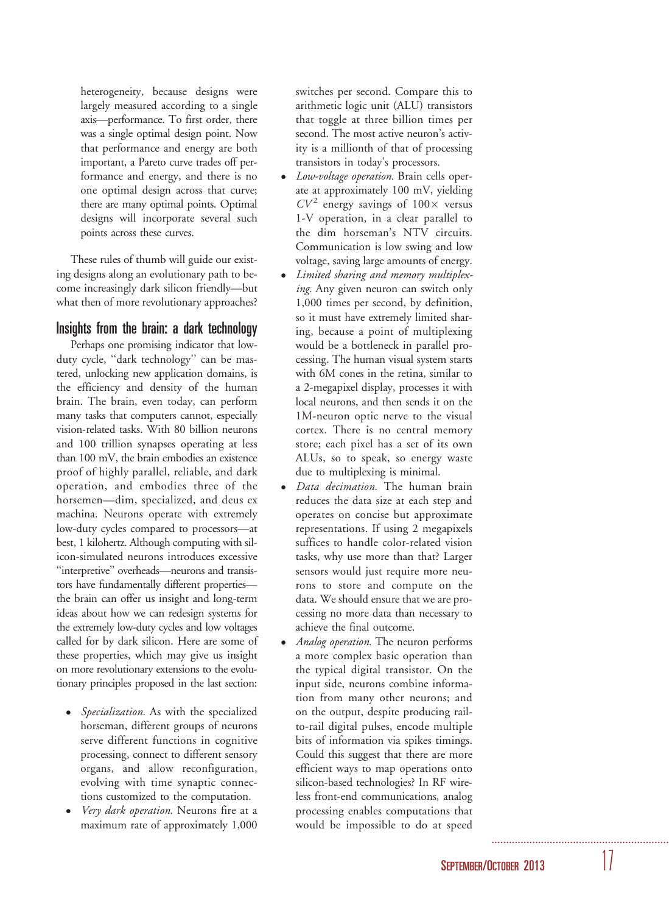heterogeneity, because designs were largely measured according to a single axis—performance. To first order, there was a single optimal design point. Now that performance and energy are both important, a Pareto curve trades off performance and energy, and there is no one optimal design across that curve; there are many optimal points. Optimal designs will incorporate several such points across these curves.

These rules of thumb will guide our existing designs along an evolutionary path to become increasingly dark silicon friendly—but what then of more revolutionary approaches?

# Insights from the brain: a dark technology

Perhaps one promising indicator that lowduty cycle, ''dark technology'' can be mastered, unlocking new application domains, is the efficiency and density of the human brain. The brain, even today, can perform many tasks that computers cannot, especially vision-related tasks. With 80 billion neurons and 100 trillion synapses operating at less than 100 mV, the brain embodies an existence proof of highly parallel, reliable, and dark operation, and embodies three of the horsemen—dim, specialized, and deus ex machina. Neurons operate with extremely low-duty cycles compared to processors—at best, 1 kilohertz. Although computing with silicon-simulated neurons introduces excessive ''interpretive'' overheads—neurons and transistors have fundamentally different properties the brain can offer us insight and long-term ideas about how we can redesign systems for the extremely low-duty cycles and low voltages called for by dark silicon. Here are some of these properties, which may give us insight on more revolutionary extensions to the evolutionary principles proposed in the last section:

- Specialization. As with the specialized horseman, different groups of neurons serve different functions in cognitive processing, connect to different sensory organs, and allow reconfiguration, evolving with time synaptic connections customized to the computation.
- Very dark operation. Neurons fire at a maximum rate of approximately 1,000

switches per second. Compare this to arithmetic logic unit (ALU) transistors that toggle at three billion times per second. The most active neuron's activity is a millionth of that of processing transistors in today's processors.

- *Low-voltage operation*. Brain cells operate at approximately 100 mV, yielding  $CV<sup>2</sup>$  energy savings of  $100 \times$  versus 1-V operation, in a clear parallel to the dim horseman's NTV circuits. Communication is low swing and low voltage, saving large amounts of energy.
- Limited sharing and memory multiplexing. Any given neuron can switch only 1,000 times per second, by definition, so it must have extremely limited sharing, because a point of multiplexing would be a bottleneck in parallel processing. The human visual system starts with 6M cones in the retina, similar to a 2-megapixel display, processes it with local neurons, and then sends it on the 1M-neuron optic nerve to the visual cortex. There is no central memory store; each pixel has a set of its own ALUs, so to speak, so energy waste due to multiplexing is minimal.
- Data decimation. The human brain reduces the data size at each step and operates on concise but approximate representations. If using 2 megapixels suffices to handle color-related vision tasks, why use more than that? Larger sensors would just require more neurons to store and compute on the data. We should ensure that we are processing no more data than necessary to achieve the final outcome.
- Analog operation. The neuron performs a more complex basic operation than the typical digital transistor. On the input side, neurons combine information from many other neurons; and on the output, despite producing railto-rail digital pulses, encode multiple bits of information via spikes timings. Could this suggest that there are more efficient ways to map operations onto silicon-based technologies? In RF wireless front-end communications, analog processing enables computations that would be impossible to do at speed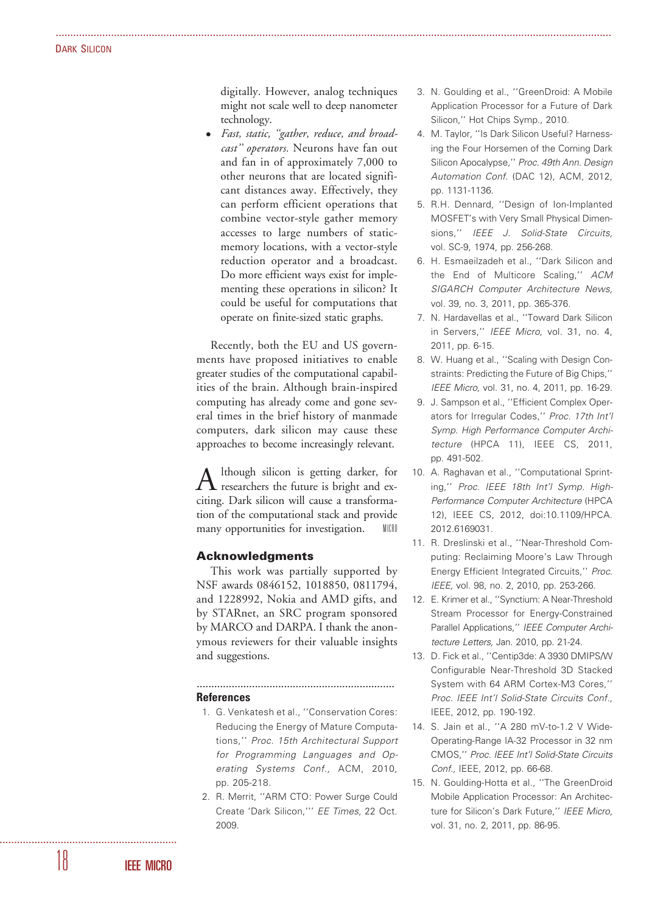digitally. However, analog techniques might not scale well to deep nanometer technology.

...............................................................................................................................................................................................

 Fast, static, ''gather, reduce, and broadcast'' operators. Neurons have fan out and fan in of approximately 7,000 to other neurons that are located significant distances away. Effectively, they can perform efficient operations that combine vector-style gather memory accesses to large numbers of staticmemory locations, with a vector-style reduction operator and a broadcast. Do more efficient ways exist for implementing these operations in silicon? It could be useful for computations that operate on finite-sized static graphs.

Recently, both the EU and US governments have proposed initiatives to enable greater studies of the computational capabilities of the brain. Although brain-inspired computing has already come and gone several times in the brief history of manmade computers, dark silicon may cause these approaches to become increasingly relevant.

Although silicon is getting darker, for researchers the future is bright and exciting. Dark silicon will cause a transformation of the computational stack and provide many opportunities for investigation. MICRO

## Acknowledgments

This work was partially supported by NSF awards 0846152, 1018850, 0811794, and 1228992, Nokia and AMD gifts, and by STARnet, an SRC program sponsored by MARCO and DARPA. I thank the anonymous reviewers for their valuable insights and suggestions.

....................................................................

#### References

- 1. G. Venkatesh et al., ''Conservation Cores: Reducing the Energy of Mature Computations,'' Proc. 15th Architectural Support for Programming Languages and Operating Systems Conf., ACM, 2010, pp. 205-218.
- 2. R. Merrit, ''ARM CTO: Power Surge Could Create 'Dark Silicon,''' EE Times, 22 Oct. 2009.
- 3. N. Goulding et al., ''GreenDroid: A Mobile Application Processor for a Future of Dark Silicon,'' Hot Chips Symp., 2010.
- 4. M. Taylor, ''Is Dark Silicon Useful? Harnessing the Four Horsemen of the Coming Dark Silicon Apocalypse,'' Proc. 49th Ann. Design Automation Conf. (DAC 12), ACM, 2012, pp. 1131-1136.
- 5. R.H. Dennard, ''Design of Ion-Implanted MOSFET's with Very Small Physical Dimensions,'' IEEE J. Solid-State Circuits, vol. SC-9, 1974, pp. 256-268.
- 6. H. Esmaeilzadeh et al., ''Dark Silicon and the End of Multicore Scaling,'' ACM SIGARCH Computer Architecture News, vol. 39, no. 3, 2011, pp. 365-376.
- 7. N. Hardavellas et al., ''Toward Dark Silicon in Servers,'' IEEE Micro, vol. 31, no. 4, 2011, pp. 6-15.
- 8. W. Huang et al., ''Scaling with Design Constraints: Predicting the Future of Big Chips,'' IEEE Micro, vol. 31, no. 4, 2011, pp. 16-29.
- 9. J. Sampson et al., ''Efficient Complex Operators for Irregular Codes,'' Proc. 17th Int'l Symp. High Performance Computer Architecture (HPCA 11), IEEE CS, 2011, pp. 491-502.
- 10. A. Raghavan et al., ''Computational Sprinting,'' Proc. IEEE 18th Int'l Symp. High-Performance Computer Architecture (HPCA 12), IEEE CS, 2012, doi:10.1109/HPCA. 2012.6169031.
- 11. R. Dreslinski et al., ''Near-Threshold Computing: Reclaiming Moore's Law Through Energy Efficient Integrated Circuits,'' Proc. IEEE, vol. 98, no. 2, 2010, pp. 253-266.
- 12. E. Krimer et al., ''Synctium: A Near-Threshold Stream Processor for Energy-Constrained Parallel Applications,'' IEEE Computer Architecture Letters, Jan. 2010, pp. 21-24.
- 13. D. Fick et al., ''Centip3de: A 3930 DMIPS/W Configurable Near-Threshold 3D Stacked System with 64 ARM Cortex-M3 Cores,'' Proc. IEEE Int'l Solid-State Circuits Conf., IEEE, 2012, pp. 190-192.
- 14. S. Jain et al., ''A 280 mV-to-1.2 V Wide-Operating-Range IA-32 Processor in 32 nm CMOS,'' Proc. IEEE Int'l Solid-State Circuits Conf., IEEE, 2012, pp. 66-68.
- 15. N. Goulding-Hotta et al., ''The GreenDroid Mobile Application Processor: An Architecture for Silicon's Dark Future," IEEE Micro, vol. 31, no. 2, 2011, pp. 86-95.